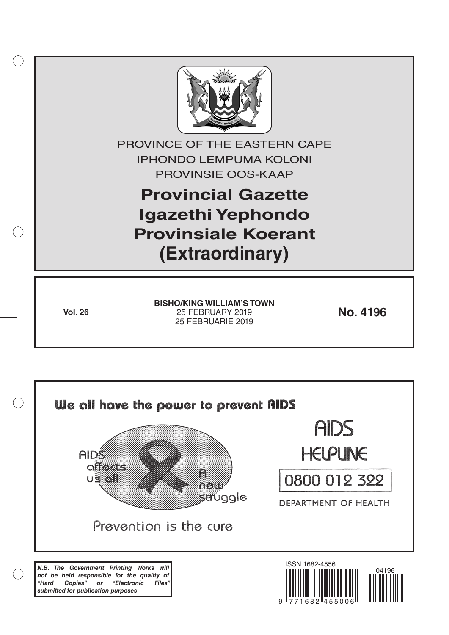

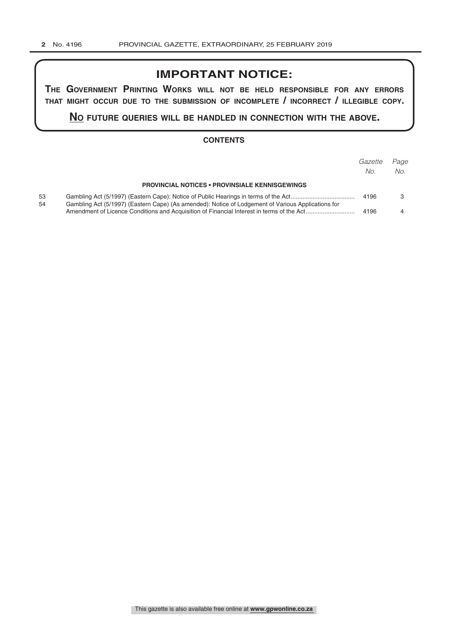# **IMPORTANT NOTICE:**

**The GovernmenT PrinTinG Works Will noT be held resPonsible for any errors ThaT miGhT occur due To The submission of incomPleTe / incorrecT / illeGible coPy.**

**no fuTure queries Will be handled in connecTion WiTh The above.**

# **CONTENTS**

|          |                                                                                                    | Gazette<br>No. | Page<br>No. |
|----------|----------------------------------------------------------------------------------------------------|----------------|-------------|
|          | <b>PROVINCIAL NOTICES • PROVINSIALE KENNISGEWINGS</b>                                              |                |             |
| 53<br>54 | Gambling Act (5/1997) (Eastern Cape) (As amended): Notice of Lodgement of Various Applications for | 4196           |             |
|          |                                                                                                    | 4196           |             |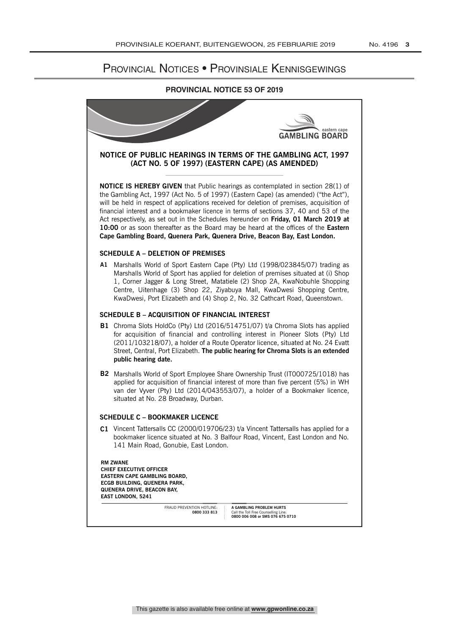# Provincial Notices • Provinsiale Kennisgewings

# **PROVINCIAL NOTICE 53 OF 2019**

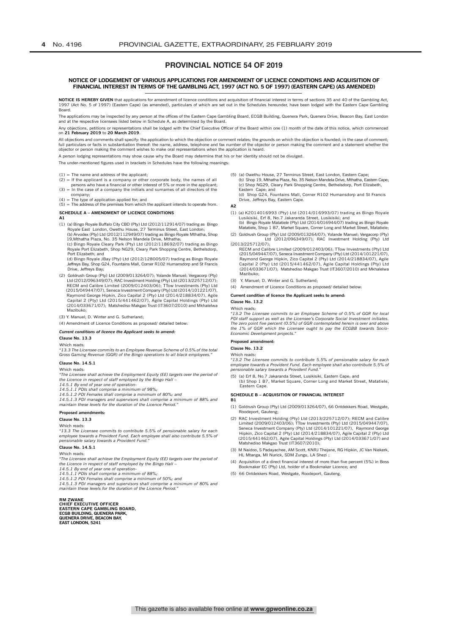## **PROVINCIAL NOTICE 54 OF 2019**

## **NOTICE OF LODGEMENT OF VARIOUS APPLICATIONS FOR AMENDMENT OF LICENCE CONDITIONS AND ACQUISITION OF FINANCIAL INTEREST IN TERMS OF THE GAMBLING ACT, 1997 (ACT NO. 5 OF 1997) (EASTERN CAPE) (AS AMENDED)**

NOTICE IS HEREBY GIVEN that applications for amendment of licence conditions and acquisition of financial interest in terms of sections 35 and 40 of the Gambling Act,<br>1997 (Act No. 5 of 1997) (Eastern Cape) (as amended), p Board.

The applications may be inspected by any person at the offices of the Eastern Cape Gambling Board, ECGB Building, Quenera Park, Quenera Drive, Beacon Bay, East London and at the respective licensees listed below in Schedule A, as determined by the Board.

Any objections, petitions or representations shall be lodged with the Chief Executive Officer of the Board within one (1) month of the date of this notice, which commenced on **21 February 2019** to **20 March 2019**.

All objections and comments shall specify: the application to which the objection or comment relates; the grounds on which the objection is founded; in the case of comment;<br>full particulars or facts in substantiation there objector or person making the comment wishes to make oral representations when the application is heard.

A person lodging representations may show cause why the Board may determine that his or her identity should not be divulged.

The under-mentioned figures used in brackets in Schedules have the following meanings:

- 
- (1) = The name and address of the applicant; (2) = If the applicant is a company or other corporate body, the names of all persons who have a financial or other interest of 5% or more in the applicant;
- $(3)$  = In the case of a company the initials and surnames of all directors of the company;
- $(4)$  = The type of application applied for: and
- $(5)$  = The address of the premises from which the applicant intends to operate from. **SCHEDULE A – AMENDMENT OF LICENCE CONDITIONS**

## **A1**

- (1) (a) Bingo Royale Buffalo City CBD (Pty) Ltd (2012/112914/07) trading as Bingo Royale East London, Owethu House, 27 Terminus Street, East London; (b) Arvodex (Pty) Ltd (2012/112949/07) trading as Bingo Royale Mthatha, Shop 19,Mthatha Plaza, No. 35 Nelson Mandela Drive, Mthatha;
	- (c) Bingo Royale Cleary Park (Pty) Ltd (2012/118692/07) trading as Bingo Royale Port Elizabeth, Shop NG29, Cleary Park Shopping Centre, Bethelsdorp, Port Elizabeth; and
- (d) Bingo Royale JBay (Pty) Ltd (2012/128005/07) trading as Bingo Royale Jeffreys Bay, Shop G24, Fountains Mall, Corner R102 Humansdorp and St Francis Drive, Jeffreys Bay;
- (2) Goldrush Group (Pty) Ltd (2009/013264/07); Yolande Manuel; Vergacorp (Pty) Ltd (2012/096349/07); RAC Investment Holding (Pty) Ltd (2013/225712/07); RECM and Calibre Limited (2009/012403/06); TTow Investments (Pty) Ltd (2015/049447/07), Seneca Investment Company (Pty) Ltd (2014/101221/07), Raymond George Hipkin, Zico Capital 2 (Pty) Ltd (2014/218834/07), Agile Capital 2 (Pty) Ltd (2015/441462/07), Agile Capital Holdings (Pty) Ltd (2014/033671/07); Matshediso Makgao Trust (IT3607/2010) and Mkhalelwa Mazibuko;
- (3) Y. Manuel; D. Winter and G. Sutherland;

(4) Amendment of Licence Conditions as proposed/ detailed below:

### *Current conditions of licence the Applicant seeks to amend:*

**Clause No. 13.3**

Which reads:

"*13.3 The Licensee commits to an Employee Revenue Scheme of 0.5% of the total Gross Gaming Revenue (GGR) of the Bingo operations to all black employees.*"

## **Clause No. 14.5.1**

- Which reads: "*The Licensee shall achieve the Employment Equity (EE) targets over the period of the Licence in respect of staff employed by the Bingo Hall –*
- 
- *14.5.1 By end of year one of operation-14.5.1.1 PDIs shall comprise a minimum of 98%; 14.5.1.2 PDI Females shall comprise a minimum of 80%; and*
- 
- *14.5.1.3 PDI managers and supervisors shall comprise a minimum of 88% and maintain these levels for the duration of the Licence Period.*"

#### **Proposed amendments: Clause No. 13.3**

Which reads:

"*13.3 The Licensee commits to contribute 5.5% of pensionable salary for each employee towards a Provident Fund. Each employee shall also contribute 5.5% of pensionable salary towards a Provident Fund.*"

#### **Clause No. 14.5.1**

#### Which reads:

"*The Licensee shall achieve the Employment Equity (EE) targets over the period of the Licence in respect of staff employed by the Bingo Hall –*

- *14.5.1 By end of year one of operation-*
- *14.5.1.1 PDIs shall comprise a minimum of 88%; 14.5.1.2 PDI Females shall comprise a minimum of 50%; and*
- *14.5.1.3 PDI managers and supervisors shall comprise a minimum of 80% and*
- *maintain these levels for the duration of the Licence Period.*"

### **RM ZwANE**

**CHIEF ExECUTIVE OFFICER EASTERN CAPE GAMBLING BOARD, ECGB BUILDING, QUENERA PARk, QUENERA DRIVE, BEACON BAy, EAST LONDON, 5241**

- 
- (5) (a) Owethu House, 27 Terminus Street, East London, Eastern Cape; (b) Shop 19, Mthatha Plaza, No. 35 Nelson Mandela Drive, Mthatha, Eastern Cape; (c) Shop NG29, Cleary Park Shopping Centre, Bethelsdorp, Port Elizabeth, Eastern Cape: and

 (d) Shop G24, Fountains Mall, Corner R102 Humansdorp and St Francis Drive, Jeffreys Bay, Eastern Cape.

#### **A2**

- (1) (a) K2014016993 (Pty) Ltd (2014/016993/07) trading as Bingo Royale Lusikisiki, Erf 8, No.7 Jakaranda Street, Lusikisiki; and (b) Bingo Royale Matatiele (Pty) Ltd (2014/016944/07) trading as Bingo Royale
- Matatiele, Shop 1 B7, Market Square, Corner Long and Market Street, Matatiele;
- (2) Goldrush Group (Pty) Ltd (2009/013264/07); Yolande Manuel; Vergacorp (Pty) Ltd (2012/096349/07); RAC Investment Holding (Pty) Ltd (2013/225712/07);
- RECM and Calibre Limited (2009/012403/06); TTow Investments (Pty) Ltd (2015/049447/07), Seneca Investment Company (Pty) Ltd (2014/101221/07), Raymond George Hipkin, Zico Capital 2 (Pty) Ltd (2014/218834/07), Agile Capital 2 (Pty) Ltd (2015/441462/07), Agile Capital Holdings (Pty) Ltd (2014/033671/07); Matshediso Makgao Trust (IT3607/2010) and Mkhalelwa Mazibuko;
- (3) Y. Manuel; D. Winter and G. Sutherland;
- (4) Amendment of Licence Conditions as proposed/ detailed below:

#### **Current condition of licence the Applicant seeks to amend:**

#### **Clause No. 13.2**

Which reads

"*13.2 The Licensee commits to an Employee Scheme of 0.5% of GGR for local PDI staff support as well as the Licensee's Corporate Social Investment initiates. The zero point five percent (0.5%) of GGR contemplated herein is over and above the 1% of GGR which the Licensee ought to pay the ECGBB towards Socio-Economic Development projects*."

#### **Proposed amendment:**

**Clause No. 13.2**

#### Which reads

"*13.2 The Licensee commits to contribute 5.5% of pensionable salary for each employee towards a Provident Fund. Each employee shall also contribute 5.5% of pensionable salary towards a Provident Fund.*"

(5) (a) Erf 8, No.7 Jakaranda Street, Lusikisiki, Eastern Cape; and (b) Shop 1 B7, Market Square, Corner Long and Market Street, Matatiele, Eastern Cape.

#### **SCHEDULE B – ACQUISITION OF FINANCIAL INTEREST**

#### **B1**

- (1) Goldrush Group (Pty) Ltd (2009/013264/07), 66 Ontdekkers Road, Westgate, Roodeport, Gauteng;
- (2) RAC Investment Holding (Pty) Ltd (2013/225712/07); RECM and Calibre Limited (2009/012403/06); TTow Investments (Pty) Ltd (2015/049447/07), Seneca Investment Company (Pty) Ltd (2014/101221/07), Raymond George Hipkin, Zico Capital 2 (Pty) Ltd (2014/218834/07), Agile Capital 2 (Pty) Ltd (2015/441462/07), Agile Capital Holdings (Pty) Ltd (2014/033671/07) and Matshediso Makgao Trust (IT3607/2010);
- (3) M Naidoo, S Padayachee, AM Scott, KNRJ Thejane, RG Hipkin, JC Van Niekerk, HL Mtanga, MI Nurick, SDM Zungu, LA Shezi ;
- (4) Acquisition of a direct financial interest of more than five percent (5%) in Boss Bookmaker EC (Pty) Ltd, holder of a Bookmaker Licence; and
- (5) 66 Ontdekkers Road, Westgate, Roodeport, Gauteng.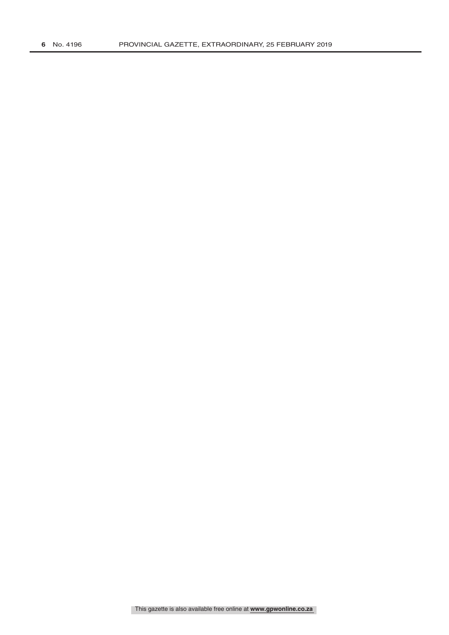This gazette is also available free online at **www.gpwonline.co.za**